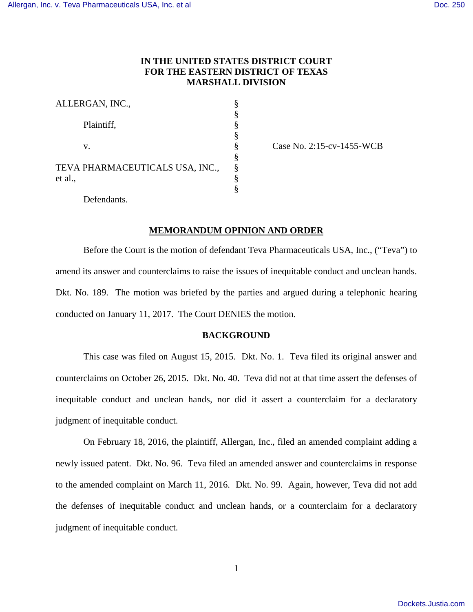# **IN THE UNITED STATES DISTRICT COURT FOR THE EASTERN DISTRICT OF TEXAS MARSHALL DIVISION**

| ALLERGAN, INC., |                                 |  |
|-----------------|---------------------------------|--|
|                 |                                 |  |
|                 | Plaintiff,                      |  |
|                 | V.                              |  |
|                 |                                 |  |
|                 | TEVA PHARMACEUTICALS USA, INC., |  |
| et al.,         |                                 |  |
|                 |                                 |  |
|                 |                                 |  |

Case No. 2:15-cv-1455-WCB

Defendants.

# **MEMORANDUM OPINION AND ORDER**

Before the Court is the motion of defendant Teva Pharmaceuticals USA, Inc., ("Teva") to amend its answer and counterclaims to raise the issues of inequitable conduct and unclean hands. Dkt. No. 189. The motion was briefed by the parties and argued during a telephonic hearing conducted on January 11, 2017. The Court DENIES the motion.

#### **BACKGROUND**

This case was filed on August 15, 2015. Dkt. No. 1. Teva filed its original answer and counterclaims on October 26, 2015. Dkt. No. 40. Teva did not at that time assert the defenses of inequitable conduct and unclean hands, nor did it assert a counterclaim for a declaratory judgment of inequitable conduct.

On February 18, 2016, the plaintiff, Allergan, Inc., filed an amended complaint adding a newly issued patent. Dkt. No. 96. Teva filed an amended answer and counterclaims in response to the amended complaint on March 11, 2016. Dkt. No. 99. Again, however, Teva did not add the defenses of inequitable conduct and unclean hands, or a counterclaim for a declaratory judgment of inequitable conduct.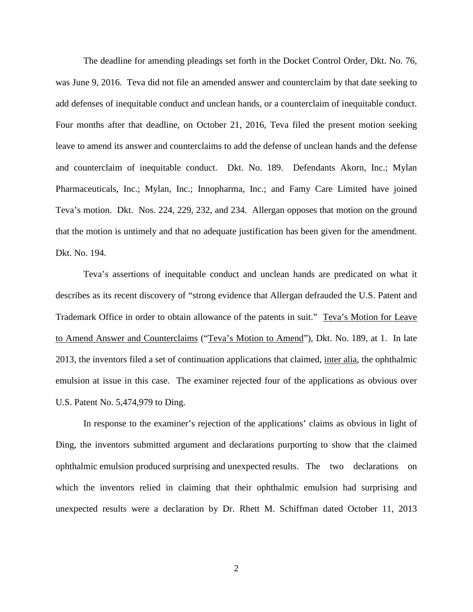The deadline for amending pleadings set forth in the Docket Control Order, Dkt. No. 76, was June 9, 2016. Teva did not file an amended answer and counterclaim by that date seeking to add defenses of inequitable conduct and unclean hands, or a counterclaim of inequitable conduct. Four months after that deadline, on October 21, 2016, Teva filed the present motion seeking leave to amend its answer and counterclaims to add the defense of unclean hands and the defense and counterclaim of inequitable conduct. Dkt. No. 189. Defendants Akorn, Inc.; Mylan Pharmaceuticals, Inc.; Mylan, Inc.; Innopharma, Inc.; and Famy Care Limited have joined Teva's motion. Dkt. Nos. 224, 229, 232, and 234. Allergan opposes that motion on the ground that the motion is untimely and that no adequate justification has been given for the amendment. Dkt. No. 194.

Teva's assertions of inequitable conduct and unclean hands are predicated on what it describes as its recent discovery of "strong evidence that Allergan defrauded the U.S. Patent and Trademark Office in order to obtain allowance of the patents in suit." Teva's Motion for Leave to Amend Answer and Counterclaims ("Teva's Motion to Amend"), Dkt. No. 189, at 1. In late 2013, the inventors filed a set of continuation applications that claimed, inter alia, the ophthalmic emulsion at issue in this case. The examiner rejected four of the applications as obvious over U.S. Patent No. 5,474,979 to Ding.

In response to the examiner's rejection of the applications' claims as obvious in light of Ding, the inventors submitted argument and declarations purporting to show that the claimed ophthalmic emulsion produced surprising and unexpected results. The two declarations on which the inventors relied in claiming that their ophthalmic emulsion had surprising and unexpected results were a declaration by Dr. Rhett M. Schiffman dated October 11, 2013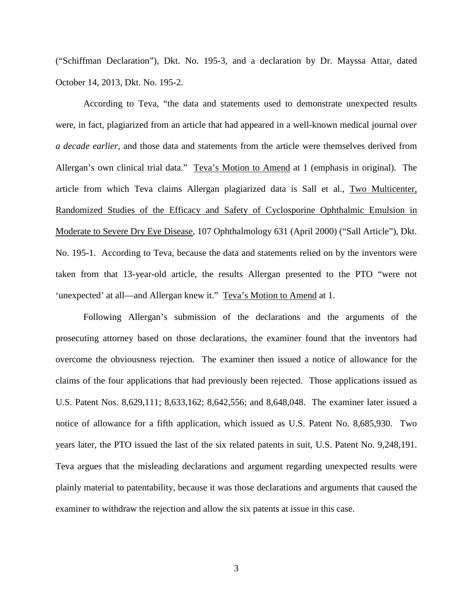("Schiffman Declaration"), Dkt. No. 195-3, and a declaration by Dr. Mayssa Attar, dated October 14, 2013, Dkt. No. 195-2.

According to Teva, "the data and statements used to demonstrate unexpected results were, in fact, plagiarized from an article that had appeared in a well-known medical journal *over a decade earlier*, and those data and statements from the article were themselves derived from Allergan's own clinical trial data." Teva's Motion to Amend at 1 (emphasis in original). The article from which Teva claims Allergan plagiarized data is Sall et al., Two Multicenter, Randomized Studies of the Efficacy and Safety of Cyclosporine Ophthalmic Emulsion in Moderate to Severe Dry Eye Disease, 107 Ophthalmology 631 (April 2000) ("Sall Article"), Dkt. No. 195-1. According to Teva, because the data and statements relied on by the inventors were taken from that 13-year-old article, the results Allergan presented to the PTO "were not 'unexpected' at all—and Allergan knew it." Teva's Motion to Amend at 1.

 Following Allergan's submission of the declarations and the arguments of the prosecuting attorney based on those declarations, the examiner found that the inventors had overcome the obviousness rejection. The examiner then issued a notice of allowance for the claims of the four applications that had previously been rejected. Those applications issued as U.S. Patent Nos. 8,629,111; 8,633,162; 8,642,556; and 8,648,048. The examiner later issued a notice of allowance for a fifth application, which issued as U.S. Patent No. 8,685,930. Two years later, the PTO issued the last of the six related patents in suit, U.S. Patent No. 9,248,191. Teva argues that the misleading declarations and argument regarding unexpected results were plainly material to patentability, because it was those declarations and arguments that caused the examiner to withdraw the rejection and allow the six patents at issue in this case.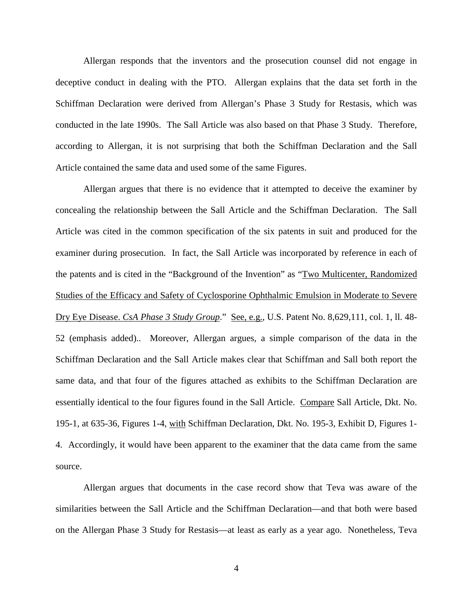Allergan responds that the inventors and the prosecution counsel did not engage in deceptive conduct in dealing with the PTO. Allergan explains that the data set forth in the Schiffman Declaration were derived from Allergan's Phase 3 Study for Restasis, which was conducted in the late 1990s. The Sall Article was also based on that Phase 3 Study. Therefore, according to Allergan, it is not surprising that both the Schiffman Declaration and the Sall Article contained the same data and used some of the same Figures.

Allergan argues that there is no evidence that it attempted to deceive the examiner by concealing the relationship between the Sall Article and the Schiffman Declaration. The Sall Article was cited in the common specification of the six patents in suit and produced for the examiner during prosecution. In fact, the Sall Article was incorporated by reference in each of the patents and is cited in the "Background of the Invention" as "Two Multicenter, Randomized Studies of the Efficacy and Safety of Cyclosporine Ophthalmic Emulsion in Moderate to Severe Dry Eye Disease. *CsA Phase 3 Study Group*." See, e.g., U.S. Patent No. 8,629,111, col. 1, ll. 48- 52 (emphasis added).. Moreover, Allergan argues, a simple comparison of the data in the Schiffman Declaration and the Sall Article makes clear that Schiffman and Sall both report the same data, and that four of the figures attached as exhibits to the Schiffman Declaration are essentially identical to the four figures found in the Sall Article. Compare Sall Article, Dkt. No. 195-1, at 635-36, Figures 1-4, with Schiffman Declaration, Dkt. No. 195-3, Exhibit D, Figures 1- 4. Accordingly, it would have been apparent to the examiner that the data came from the same source.

Allergan argues that documents in the case record show that Teva was aware of the similarities between the Sall Article and the Schiffman Declaration—and that both were based on the Allergan Phase 3 Study for Restasis—at least as early as a year ago. Nonetheless, Teva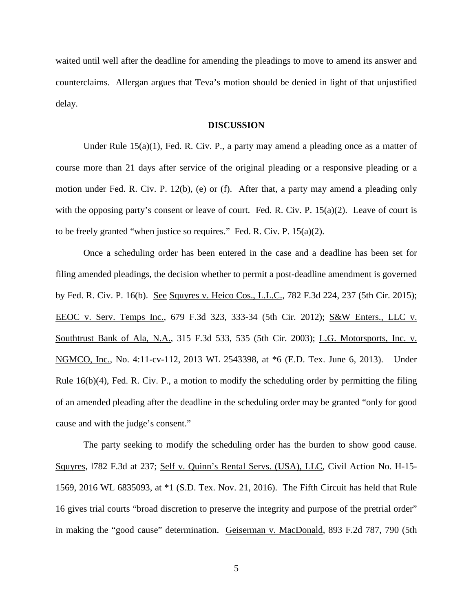waited until well after the deadline for amending the pleadings to move to amend its answer and counterclaims. Allergan argues that Teva's motion should be denied in light of that unjustified delay.

#### **DISCUSSION**

Under Rule  $15(a)(1)$ , Fed. R. Civ. P., a party may amend a pleading once as a matter of course more than 21 days after service of the original pleading or a responsive pleading or a motion under Fed. R. Civ. P. 12(b), (e) or (f). After that, a party may amend a pleading only with the opposing party's consent or leave of court. Fed. R. Civ. P. 15(a)(2). Leave of court is to be freely granted "when justice so requires." Fed. R. Civ. P.  $15(a)(2)$ .

Once a scheduling order has been entered in the case and a deadline has been set for filing amended pleadings, the decision whether to permit a post-deadline amendment is governed by Fed. R. Civ. P. 16(b). See Squyres v. Heico Cos., L.L.C., 782 F.3d 224, 237 (5th Cir. 2015); EEOC v. Serv. Temps Inc., 679 F.3d 323, 333-34 (5th Cir. 2012); S&W Enters., LLC v. Southtrust Bank of Ala, N.A., 315 F.3d 533, 535 (5th Cir. 2003); L.G. Motorsports, Inc. v. NGMCO, Inc., No. 4:11-cv-112, 2013 WL 2543398, at \*6 (E.D. Tex. June 6, 2013). Under Rule 16(b)(4), Fed. R. Civ. P., a motion to modify the scheduling order by permitting the filing of an amended pleading after the deadline in the scheduling order may be granted "only for good cause and with the judge's consent."

The party seeking to modify the scheduling order has the burden to show good cause. Squyres, l782 F.3d at 237; Self v. Quinn's Rental Servs. (USA), LLC, Civil Action No. H-15- 1569, 2016 WL 6835093, at \*1 (S.D. Tex. Nov. 21, 2016). The Fifth Circuit has held that Rule 16 gives trial courts "broad discretion to preserve the integrity and purpose of the pretrial order" in making the "good cause" determination. Geiserman v. MacDonald, 893 F.2d 787, 790 (5th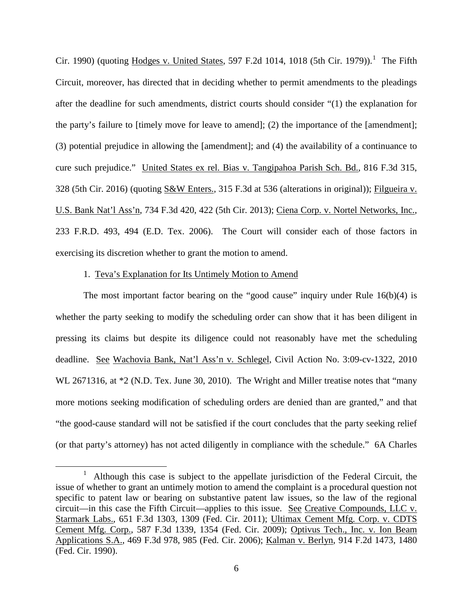Cir. [1](#page-5-0)990) (quoting Hodges v. United States, 597 F.2d 1014, 1018 (5th Cir. 1979)).<sup>1</sup> The Fifth Circuit, moreover, has directed that in deciding whether to permit amendments to the pleadings after the deadline for such amendments, district courts should consider "(1) the explanation for the party's failure to [timely move for leave to amend]; (2) the importance of the [amendment]; (3) potential prejudice in allowing the [amendment]; and (4) the availability of a continuance to cure such prejudice." United States ex rel. Bias v. Tangipahoa Parish Sch. Bd., 816 F.3d 315, 328 (5th Cir. 2016) (quoting S&W Enters., 315 F.3d at 536 (alterations in original)); Filgueira v. U.S. Bank Nat'l Ass'n, 734 F.3d 420, 422 (5th Cir. 2013); Ciena Corp. v. Nortel Networks, Inc., 233 F.R.D. 493, 494 (E.D. Tex. 2006). The Court will consider each of those factors in exercising its discretion whether to grant the motion to amend.

## 1. Teva's Explanation for Its Untimely Motion to Amend

 $\overline{a}$ 

The most important factor bearing on the "good cause" inquiry under Rule  $16(b)(4)$  is whether the party seeking to modify the scheduling order can show that it has been diligent in pressing its claims but despite its diligence could not reasonably have met the scheduling deadline. See Wachovia Bank, Nat'l Ass'n v. Schlegel, Civil Action No. 3:09-cv-1322, 2010 WL 2671316, at  $*2$  (N.D. Tex. June 30, 2010). The Wright and Miller treatise notes that "many more motions seeking modification of scheduling orders are denied than are granted," and that "the good-cause standard will not be satisfied if the court concludes that the party seeking relief (or that party's attorney) has not acted diligently in compliance with the schedule." 6A Charles

<span id="page-5-0"></span><sup>&</sup>lt;sup>1</sup> Although this case is subject to the appellate jurisdiction of the Federal Circuit, the issue of whether to grant an untimely motion to amend the complaint is a procedural question not specific to patent law or bearing on substantive patent law issues, so the law of the regional circuit—in this case the Fifth Circuit—applies to this issue. See Creative Compounds, LLC v. Starmark Labs., 651 F.3d 1303, 1309 (Fed. Cir. 2011); Ultimax Cement Mfg. Corp. v. CDTS Cement Mfg. Corp., 587 F.3d 1339, 1354 (Fed. Cir. 2009); Optivus Tech., Inc. v. Ion Beam Applications S.A., 469 F.3d 978, 985 (Fed. Cir. 2006); Kalman v. Berlyn, 914 F.2d 1473, 1480 (Fed. Cir. 1990).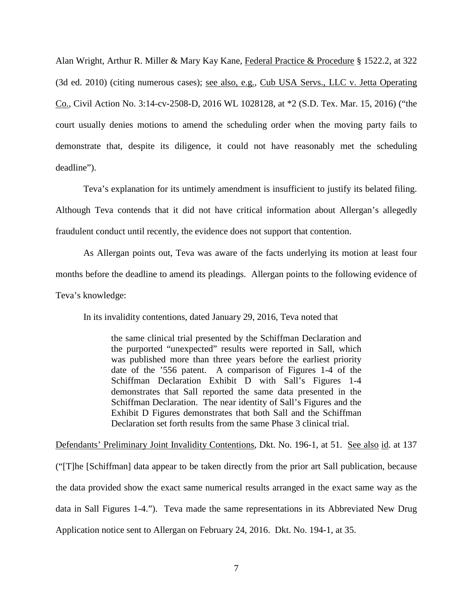Alan Wright, Arthur R. Miller & Mary Kay Kane, Federal Practice & Procedure § 1522.2, at 322 (3d ed. 2010) (citing numerous cases); see also, e.g., Cub USA Servs., LLC v. Jetta Operating Co., Civil Action No. 3:14-cv-2508-D, 2016 WL 1028128, at \*2 (S.D. Tex. Mar. 15, 2016) ("the court usually denies motions to amend the scheduling order when the moving party fails to demonstrate that, despite its diligence, it could not have reasonably met the scheduling deadline").

Teva's explanation for its untimely amendment is insufficient to justify its belated filing. Although Teva contends that it did not have critical information about Allergan's allegedly fraudulent conduct until recently, the evidence does not support that contention.

As Allergan points out, Teva was aware of the facts underlying its motion at least four months before the deadline to amend its pleadings. Allergan points to the following evidence of Teva's knowledge:

In its invalidity contentions, dated January 29, 2016, Teva noted that

the same clinical trial presented by the Schiffman Declaration and the purported "unexpected" results were reported in Sall, which was published more than three years before the earliest priority date of the '556 patent. A comparison of Figures 1-4 of the Schiffman Declaration Exhibit D with Sall's Figures 1-4 demonstrates that Sall reported the same data presented in the Schiffman Declaration. The near identity of Sall's Figures and the Exhibit D Figures demonstrates that both Sall and the Schiffman Declaration set forth results from the same Phase 3 clinical trial.

Defendants' Preliminary Joint Invalidity Contentions, Dkt. No. 196-1, at 51. See also id. at 137 ("[T]he [Schiffman] data appear to be taken directly from the prior art Sall publication, because the data provided show the exact same numerical results arranged in the exact same way as the data in Sall Figures 1-4."). Teva made the same representations in its Abbreviated New Drug Application notice sent to Allergan on February 24, 2016. Dkt. No. 194-1, at 35.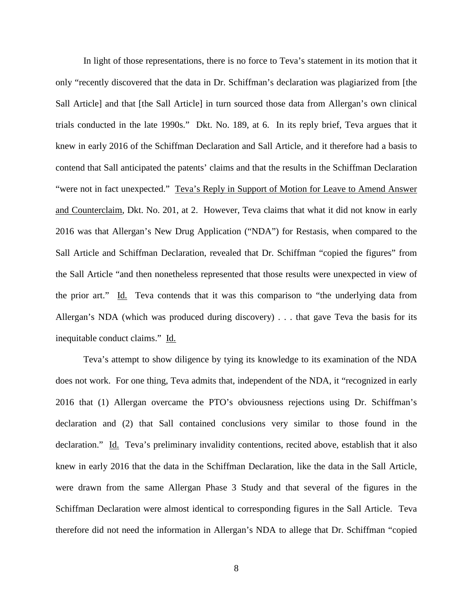In light of those representations, there is no force to Teva's statement in its motion that it only "recently discovered that the data in Dr. Schiffman's declaration was plagiarized from [the Sall Article] and that [the Sall Article] in turn sourced those data from Allergan's own clinical trials conducted in the late 1990s." Dkt. No. 189, at 6. In its reply brief, Teva argues that it knew in early 2016 of the Schiffman Declaration and Sall Article, and it therefore had a basis to contend that Sall anticipated the patents' claims and that the results in the Schiffman Declaration "were not in fact unexpected." Teva's Reply in Support of Motion for Leave to Amend Answer and Counterclaim, Dkt. No. 201, at 2. However, Teva claims that what it did not know in early 2016 was that Allergan's New Drug Application ("NDA") for Restasis, when compared to the Sall Article and Schiffman Declaration, revealed that Dr. Schiffman "copied the figures" from the Sall Article "and then nonetheless represented that those results were unexpected in view of the prior art." Id. Teva contends that it was this comparison to "the underlying data from Allergan's NDA (which was produced during discovery) . . . that gave Teva the basis for its inequitable conduct claims." Id.

Teva's attempt to show diligence by tying its knowledge to its examination of the NDA does not work. For one thing, Teva admits that, independent of the NDA, it "recognized in early 2016 that (1) Allergan overcame the PTO's obviousness rejections using Dr. Schiffman's declaration and (2) that Sall contained conclusions very similar to those found in the declaration." Id. Teva's preliminary invalidity contentions, recited above, establish that it also knew in early 2016 that the data in the Schiffman Declaration, like the data in the Sall Article, were drawn from the same Allergan Phase 3 Study and that several of the figures in the Schiffman Declaration were almost identical to corresponding figures in the Sall Article. Teva therefore did not need the information in Allergan's NDA to allege that Dr. Schiffman "copied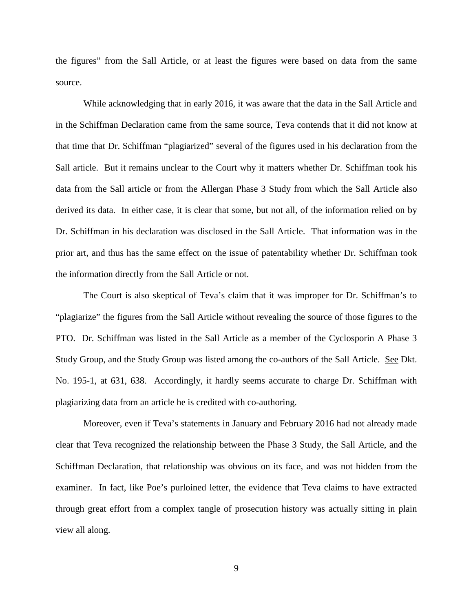the figures" from the Sall Article, or at least the figures were based on data from the same source.

While acknowledging that in early 2016, it was aware that the data in the Sall Article and in the Schiffman Declaration came from the same source, Teva contends that it did not know at that time that Dr. Schiffman "plagiarized" several of the figures used in his declaration from the Sall article. But it remains unclear to the Court why it matters whether Dr. Schiffman took his data from the Sall article or from the Allergan Phase 3 Study from which the Sall Article also derived its data. In either case, it is clear that some, but not all, of the information relied on by Dr. Schiffman in his declaration was disclosed in the Sall Article. That information was in the prior art, and thus has the same effect on the issue of patentability whether Dr. Schiffman took the information directly from the Sall Article or not.

The Court is also skeptical of Teva's claim that it was improper for Dr. Schiffman's to "plagiarize" the figures from the Sall Article without revealing the source of those figures to the PTO. Dr. Schiffman was listed in the Sall Article as a member of the Cyclosporin A Phase 3 Study Group, and the Study Group was listed among the co-authors of the Sall Article. See Dkt. No. 195-1, at 631, 638. Accordingly, it hardly seems accurate to charge Dr. Schiffman with plagiarizing data from an article he is credited with co-authoring.

Moreover, even if Teva's statements in January and February 2016 had not already made clear that Teva recognized the relationship between the Phase 3 Study, the Sall Article, and the Schiffman Declaration, that relationship was obvious on its face, and was not hidden from the examiner. In fact, like Poe's purloined letter, the evidence that Teva claims to have extracted through great effort from a complex tangle of prosecution history was actually sitting in plain view all along.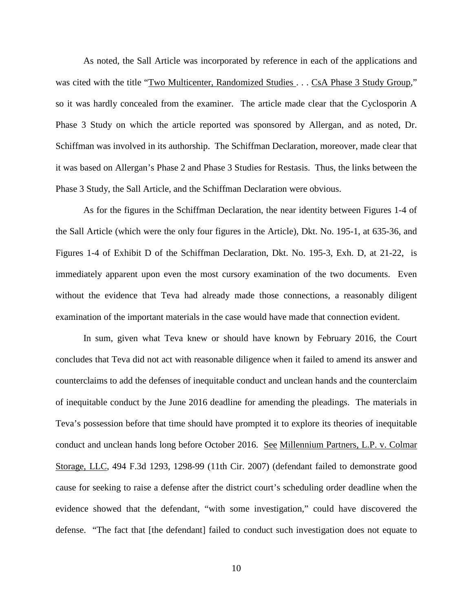As noted, the Sall Article was incorporated by reference in each of the applications and was cited with the title "Two Multicenter, Randomized Studies . . . CsA Phase 3 Study Group," so it was hardly concealed from the examiner. The article made clear that the Cyclosporin A Phase 3 Study on which the article reported was sponsored by Allergan, and as noted, Dr. Schiffman was involved in its authorship. The Schiffman Declaration, moreover, made clear that it was based on Allergan's Phase 2 and Phase 3 Studies for Restasis. Thus, the links between the Phase 3 Study, the Sall Article, and the Schiffman Declaration were obvious.

As for the figures in the Schiffman Declaration, the near identity between Figures 1-4 of the Sall Article (which were the only four figures in the Article), Dkt. No. 195-1, at 635-36, and Figures 1-4 of Exhibit D of the Schiffman Declaration, Dkt. No. 195-3, Exh. D, at 21-22, is immediately apparent upon even the most cursory examination of the two documents. Even without the evidence that Teva had already made those connections, a reasonably diligent examination of the important materials in the case would have made that connection evident.

In sum, given what Teva knew or should have known by February 2016, the Court concludes that Teva did not act with reasonable diligence when it failed to amend its answer and counterclaims to add the defenses of inequitable conduct and unclean hands and the counterclaim of inequitable conduct by the June 2016 deadline for amending the pleadings. The materials in Teva's possession before that time should have prompted it to explore its theories of inequitable conduct and unclean hands long before October 2016. See Millennium Partners, L.P. v. Colmar Storage, LLC, 494 F.3d 1293, 1298-99 (11th Cir. 2007) (defendant failed to demonstrate good cause for seeking to raise a defense after the district court's scheduling order deadline when the evidence showed that the defendant, "with some investigation," could have discovered the defense. "The fact that [the defendant] failed to conduct such investigation does not equate to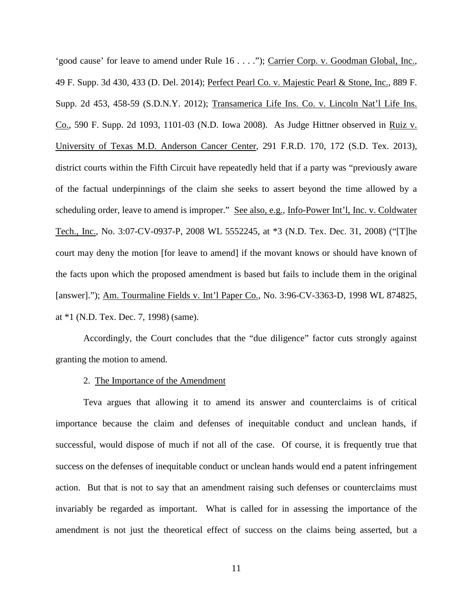'good cause' for leave to amend under Rule 16 . . . ."); Carrier Corp. v. Goodman Global, Inc., 49 F. Supp. 3d 430, 433 (D. Del. 2014); Perfect Pearl Co. v. Majestic Pearl & Stone, Inc., 889 F. Supp. 2d 453, 458-59 (S.D.N.Y. 2012); Transamerica Life Ins. Co. v. Lincoln Nat'l Life Ins. Co., 590 F. Supp. 2d 1093, 1101-03 (N.D. Iowa 2008). As Judge Hittner observed in Ruiz v. University of Texas M.D. Anderson Cancer Center, 291 F.R.D. 170, 172 (S.D. Tex. 2013), district courts within the Fifth Circuit have repeatedly held that if a party was "previously aware of the factual underpinnings of the claim she seeks to assert beyond the time allowed by a scheduling order, leave to amend is improper." See also, e.g., Info-Power Int'l, Inc. v. Coldwater Tech., Inc., No. 3:07-CV-0937-P, 2008 WL 5552245, at \*3 (N.D. Tex. Dec. 31, 2008) ("[T]he court may deny the motion [for leave to amend] if the movant knows or should have known of the facts upon which the proposed amendment is based but fails to include them in the original [answer]."); Am. Tourmaline Fields v. Int'l Paper Co., No. 3:96-CV-3363-D, 1998 WL 874825, at \*1 (N.D. Tex. Dec. 7, 1998) (same).

Accordingly, the Court concludes that the "due diligence" factor cuts strongly against granting the motion to amend.

## 2. The Importance of the Amendment

Teva argues that allowing it to amend its answer and counterclaims is of critical importance because the claim and defenses of inequitable conduct and unclean hands, if successful, would dispose of much if not all of the case. Of course, it is frequently true that success on the defenses of inequitable conduct or unclean hands would end a patent infringement action. But that is not to say that an amendment raising such defenses or counterclaims must invariably be regarded as important. What is called for in assessing the importance of the amendment is not just the theoretical effect of success on the claims being asserted, but a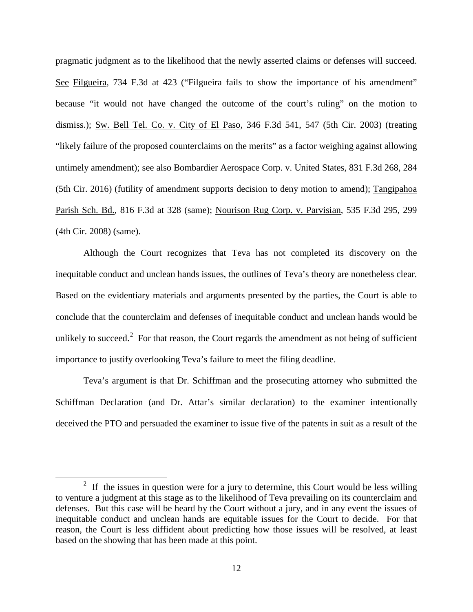pragmatic judgment as to the likelihood that the newly asserted claims or defenses will succeed. See Filgueira, 734 F.3d at 423 ("Filgueira fails to show the importance of his amendment" because "it would not have changed the outcome of the court's ruling" on the motion to dismiss.); Sw. Bell Tel. Co. v. City of El Paso, 346 F.3d 541, 547 (5th Cir. 2003) (treating "likely failure of the proposed counterclaims on the merits" as a factor weighing against allowing untimely amendment); see also Bombardier Aerospace Corp. v. United States, 831 F.3d 268, 284 (5th Cir. 2016) (futility of amendment supports decision to deny motion to amend); Tangipahoa Parish Sch. Bd., 816 F.3d at 328 (same); Nourison Rug Corp. v. Parvisian, 535 F.3d 295, 299 (4th Cir. 2008) (same).

Although the Court recognizes that Teva has not completed its discovery on the inequitable conduct and unclean hands issues, the outlines of Teva's theory are nonetheless clear. Based on the evidentiary materials and arguments presented by the parties, the Court is able to conclude that the counterclaim and defenses of inequitable conduct and unclean hands would be unlikely to succeed.<sup>[2](#page-11-0)</sup> For that reason, the Court regards the amendment as not being of sufficient importance to justify overlooking Teva's failure to meet the filing deadline.

Teva's argument is that Dr. Schiffman and the prosecuting attorney who submitted the Schiffman Declaration (and Dr. Attar's similar declaration) to the examiner intentionally deceived the PTO and persuaded the examiner to issue five of the patents in suit as a result of the

 $\overline{a}$ 

<span id="page-11-0"></span><sup>&</sup>lt;sup>2</sup> If the issues in question were for a jury to determine, this Court would be less willing to venture a judgment at this stage as to the likelihood of Teva prevailing on its counterclaim and defenses. But this case will be heard by the Court without a jury, and in any event the issues of inequitable conduct and unclean hands are equitable issues for the Court to decide. For that reason, the Court is less diffident about predicting how those issues will be resolved, at least based on the showing that has been made at this point.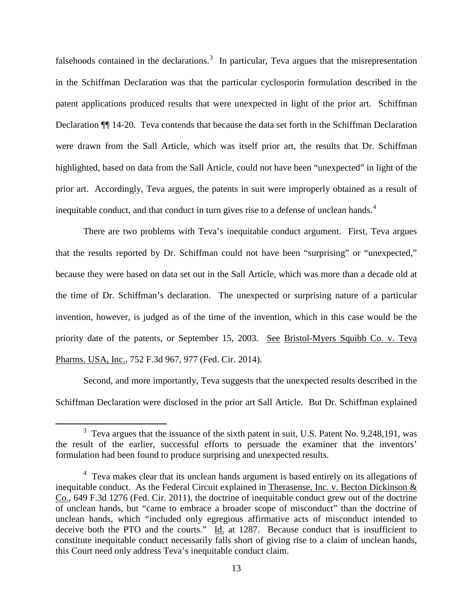falsehoods contained in the declarations.<sup>[3](#page-12-0)</sup> In particular, Teva argues that the misrepresentation in the Schiffman Declaration was that the particular cyclosporin formulation described in the patent applications produced results that were unexpected in light of the prior art. Schiffman Declaration ¶¶ 14-20. Teva contends that because the data set forth in the Schiffman Declaration were drawn from the Sall Article, which was itself prior art, the results that Dr. Schiffman highlighted, based on data from the Sall Article, could not have been "unexpected" in light of the prior art. Accordingly, Teva argues, the patents in suit were improperly obtained as a result of inequitable conduct, and that conduct in turn gives rise to a defense of unclean hands. $4$ 

There are two problems with Teva's inequitable conduct argument. First, Teva argues that the results reported by Dr. Schiffman could not have been "surprising" or "unexpected," because they were based on data set out in the Sall Article, which was more than a decade old at the time of Dr. Schiffman's declaration. The unexpected or surprising nature of a particular invention, however, is judged as of the time of the invention, which in this case would be the priority date of the patents, or September 15, 2003. See Bristol-Myers Squibb Co. v. Teva Pharms. USA, Inc., 752 F.3d 967, 977 (Fed. Cir. 2014).

Second, and more importantly, Teva suggests that the unexpected results described in the Schiffman Declaration were disclosed in the prior art Sall Article. But Dr. Schiffman explained

 $\overline{a}$ 

<span id="page-12-0"></span> $3$  Teva argues that the issuance of the sixth patent in suit, U.S. Patent No. 9,248,191, was the result of the earlier, successful efforts to persuade the examiner that the inventors' formulation had been found to produce surprising and unexpected results.

<span id="page-12-1"></span><sup>&</sup>lt;sup>4</sup> Teva makes clear that its unclean hands argument is based entirely on its allegations of inequitable conduct. As the Federal Circuit explained in Therasense, Inc. v. Becton Dickinson & Co., 649 F.3d 1276 (Fed. Cir. 2011), the doctrine of inequitable conduct grew out of the doctrine of unclean hands, but "came to embrace a broader scope of misconduct" than the doctrine of unclean hands, which "included only egregious affirmative acts of misconduct intended to deceive both the PTO and the courts." Id. at 1287. Because conduct that is insufficient to constitute inequitable conduct necessarily falls short of giving rise to a claim of unclean hands, this Court need only address Teva's inequitable conduct claim.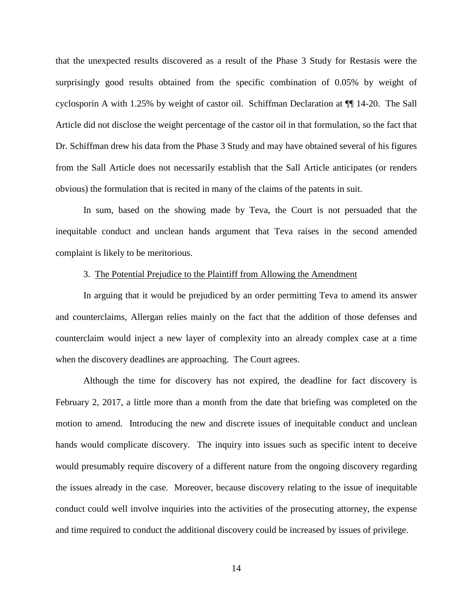that the unexpected results discovered as a result of the Phase 3 Study for Restasis were the surprisingly good results obtained from the specific combination of 0.05% by weight of cyclosporin A with 1.25% by weight of castor oil. Schiffman Declaration at ¶¶ 14-20. The Sall Article did not disclose the weight percentage of the castor oil in that formulation, so the fact that Dr. Schiffman drew his data from the Phase 3 Study and may have obtained several of his figures from the Sall Article does not necessarily establish that the Sall Article anticipates (or renders obvious) the formulation that is recited in many of the claims of the patents in suit.

In sum, based on the showing made by Teva, the Court is not persuaded that the inequitable conduct and unclean hands argument that Teva raises in the second amended complaint is likely to be meritorious.

## 3. The Potential Prejudice to the Plaintiff from Allowing the Amendment

In arguing that it would be prejudiced by an order permitting Teva to amend its answer and counterclaims, Allergan relies mainly on the fact that the addition of those defenses and counterclaim would inject a new layer of complexity into an already complex case at a time when the discovery deadlines are approaching. The Court agrees.

Although the time for discovery has not expired, the deadline for fact discovery is February 2, 2017, a little more than a month from the date that briefing was completed on the motion to amend. Introducing the new and discrete issues of inequitable conduct and unclean hands would complicate discovery. The inquiry into issues such as specific intent to deceive would presumably require discovery of a different nature from the ongoing discovery regarding the issues already in the case. Moreover, because discovery relating to the issue of inequitable conduct could well involve inquiries into the activities of the prosecuting attorney, the expense and time required to conduct the additional discovery could be increased by issues of privilege.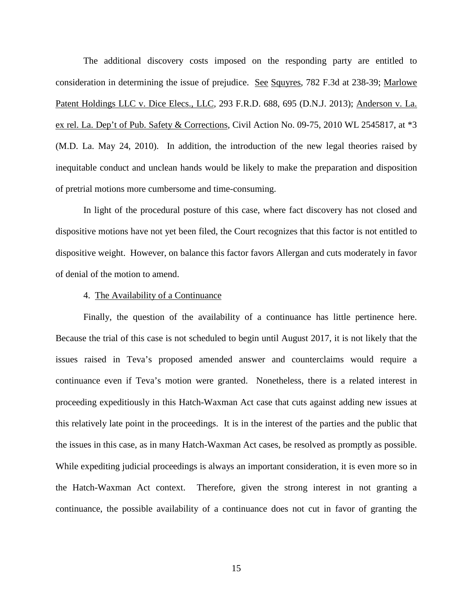The additional discovery costs imposed on the responding party are entitled to consideration in determining the issue of prejudice. See Squyres, 782 F.3d at 238-39; Marlowe Patent Holdings LLC v. Dice Elecs., LLC, 293 F.R.D. 688, 695 (D.N.J. 2013); Anderson v. La. ex rel. La. Dep't of Pub. Safety & Corrections, Civil Action No. 09-75, 2010 WL 2545817, at \*3 (M.D. La. May 24, 2010). In addition, the introduction of the new legal theories raised by inequitable conduct and unclean hands would be likely to make the preparation and disposition of pretrial motions more cumbersome and time-consuming.

In light of the procedural posture of this case, where fact discovery has not closed and dispositive motions have not yet been filed, the Court recognizes that this factor is not entitled to dispositive weight. However, on balance this factor favors Allergan and cuts moderately in favor of denial of the motion to amend.

#### 4. The Availability of a Continuance

Finally, the question of the availability of a continuance has little pertinence here. Because the trial of this case is not scheduled to begin until August 2017, it is not likely that the issues raised in Teva's proposed amended answer and counterclaims would require a continuance even if Teva's motion were granted. Nonetheless, there is a related interest in proceeding expeditiously in this Hatch-Waxman Act case that cuts against adding new issues at this relatively late point in the proceedings. It is in the interest of the parties and the public that the issues in this case, as in many Hatch-Waxman Act cases, be resolved as promptly as possible. While expediting judicial proceedings is always an important consideration, it is even more so in the Hatch-Waxman Act context. Therefore, given the strong interest in not granting a continuance, the possible availability of a continuance does not cut in favor of granting the